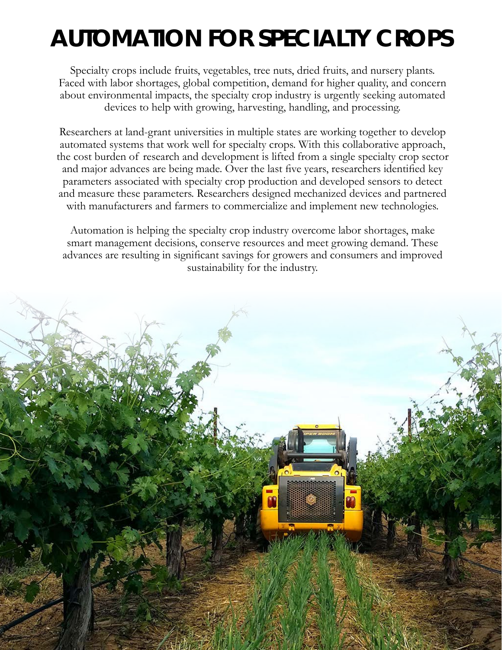## **AUTOMATION FOR SPECIALTY CROPS**

Specialty crops include fruits, vegetables, tree nuts, dried fruits, and nursery plants. Faced with labor shortages, global competition, demand for higher quality, and concern about environmental impacts, the specialty crop industry is urgently seeking automated devices to help with growing, harvesting, handling, and processing.

Researchers at land-grant universities in multiple states are working together to develop automated systems that work well for specialty crops. With this collaborative approach, the cost burden of research and development is lifted from a single specialty crop sector and major advances are being made. Over the last five years, researchers identified key parameters associated with specialty crop production and developed sensors to detect and measure these parameters. Researchers designed mechanized devices and partnered with manufacturers and farmers to commercialize and implement new technologies.

Automation is helping the specialty crop industry overcome labor shortages, make smart management decisions, conserve resources and meet growing demand. These advances are resulting in significant savings for growers and consumers and improved sustainability for the industry.